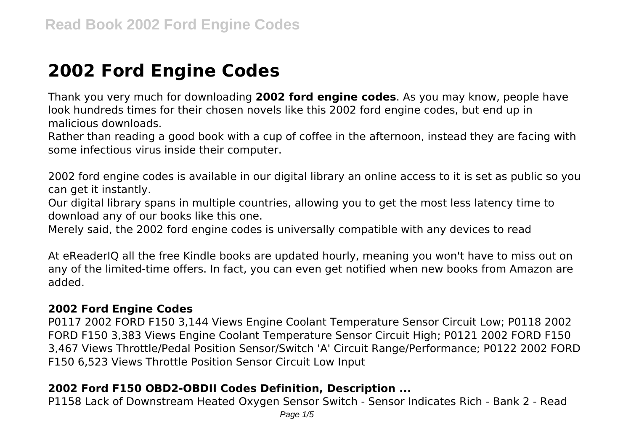# **2002 Ford Engine Codes**

Thank you very much for downloading **2002 ford engine codes**. As you may know, people have look hundreds times for their chosen novels like this 2002 ford engine codes, but end up in malicious downloads.

Rather than reading a good book with a cup of coffee in the afternoon, instead they are facing with some infectious virus inside their computer.

2002 ford engine codes is available in our digital library an online access to it is set as public so you can get it instantly.

Our digital library spans in multiple countries, allowing you to get the most less latency time to download any of our books like this one.

Merely said, the 2002 ford engine codes is universally compatible with any devices to read

At eReaderIQ all the free Kindle books are updated hourly, meaning you won't have to miss out on any of the limited-time offers. In fact, you can even get notified when new books from Amazon are added.

#### **2002 Ford Engine Codes**

P0117 2002 FORD F150 3,144 Views Engine Coolant Temperature Sensor Circuit Low; P0118 2002 FORD F150 3,383 Views Engine Coolant Temperature Sensor Circuit High; P0121 2002 FORD F150 3,467 Views Throttle/Pedal Position Sensor/Switch 'A' Circuit Range/Performance; P0122 2002 FORD F150 6,523 Views Throttle Position Sensor Circuit Low Input

# **2002 Ford F150 OBD2-OBDII Codes Definition, Description ...**

P1158 Lack of Downstream Heated Oxygen Sensor Switch - Sensor Indicates Rich - Bank 2 - Read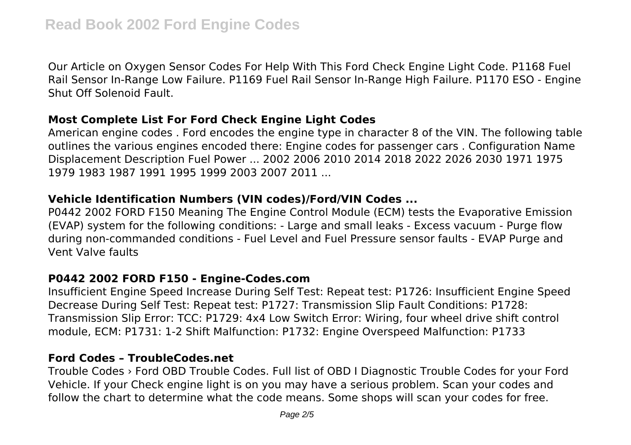Our Article on Oxygen Sensor Codes For Help With This Ford Check Engine Light Code. P1168 Fuel Rail Sensor In-Range Low Failure. P1169 Fuel Rail Sensor In-Range High Failure. P1170 ESO - Engine Shut Off Solenoid Fault.

#### **Most Complete List For Ford Check Engine Light Codes**

American engine codes . Ford encodes the engine type in character 8 of the VIN. The following table outlines the various engines encoded there: Engine codes for passenger cars . Configuration Name Displacement Description Fuel Power ... 2002 2006 2010 2014 2018 2022 2026 2030 1971 1975 1979 1983 1987 1991 1995 1999 2003 2007 2011 ...

# **Vehicle Identification Numbers (VIN codes)/Ford/VIN Codes ...**

P0442 2002 FORD F150 Meaning The Engine Control Module (ECM) tests the Evaporative Emission (EVAP) system for the following conditions: - Large and small leaks - Excess vacuum - Purge flow during non-commanded conditions - Fuel Level and Fuel Pressure sensor faults - EVAP Purge and Vent Valve faults

# **P0442 2002 FORD F150 - Engine-Codes.com**

Insufficient Engine Speed Increase During Self Test: Repeat test: P1726: Insufficient Engine Speed Decrease During Self Test: Repeat test: P1727: Transmission Slip Fault Conditions: P1728: Transmission Slip Error: TCC: P1729: 4x4 Low Switch Error: Wiring, four wheel drive shift control module, ECM: P1731: 1-2 Shift Malfunction: P1732: Engine Overspeed Malfunction: P1733

#### **Ford Codes – TroubleCodes.net**

Trouble Codes › Ford OBD Trouble Codes. Full list of OBD I Diagnostic Trouble Codes for your Ford Vehicle. If your Check engine light is on you may have a serious problem. Scan your codes and follow the chart to determine what the code means. Some shops will scan your codes for free.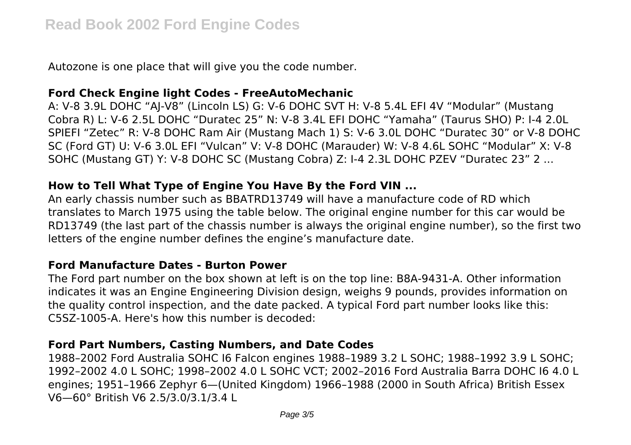Autozone is one place that will give you the code number.

# **Ford Check Engine light Codes - FreeAutoMechanic**

A: V-8 3.9L DOHC "AJ-V8" (Lincoln LS) G: V-6 DOHC SVT H: V-8 5.4L EFI 4V "Modular" (Mustang Cobra R) L: V-6 2.5L DOHC "Duratec 25" N: V-8 3.4L EFI DOHC "Yamaha" (Taurus SHO) P: I-4 2.0L SPIEFI "Zetec" R: V-8 DOHC Ram Air (Mustang Mach 1) S: V-6 3.0L DOHC "Duratec 30" or V-8 DOHC SC (Ford GT) U: V-6 3.0L EFI "Vulcan" V: V-8 DOHC (Marauder) W: V-8 4.6L SOHC "Modular" X: V-8 SOHC (Mustang GT) Y: V-8 DOHC SC (Mustang Cobra) Z: I-4 2.3L DOHC PZEV "Duratec 23" 2 ...

# **How to Tell What Type of Engine You Have By the Ford VIN ...**

An early chassis number such as BBATRD13749 will have a manufacture code of RD which translates to March 1975 using the table below. The original engine number for this car would be RD13749 (the last part of the chassis number is always the original engine number), so the first two letters of the engine number defines the engine's manufacture date.

# **Ford Manufacture Dates - Burton Power**

The Ford part number on the box shown at left is on the top line: B8A-9431-A. Other information indicates it was an Engine Engineering Division design, weighs 9 pounds, provides information on the quality control inspection, and the date packed. A typical Ford part number looks like this: C5SZ-1005-A. Here's how this number is decoded:

# **Ford Part Numbers, Casting Numbers, and Date Codes**

1988–2002 Ford Australia SOHC I6 Falcon engines 1988–1989 3.2 L SOHC; 1988–1992 3.9 L SOHC; 1992–2002 4.0 L SOHC; 1998–2002 4.0 L SOHC VCT; 2002–2016 Ford Australia Barra DOHC I6 4.0 L engines; 1951–1966 Zephyr 6—(United Kingdom) 1966–1988 (2000 in South Africa) British Essex V6—60° British V6 2.5/3.0/3.1/3.4 L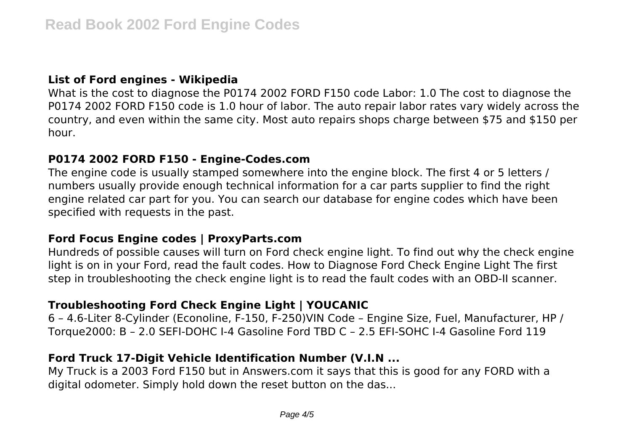# **List of Ford engines - Wikipedia**

What is the cost to diagnose the P0174 2002 FORD F150 code Labor: 1.0 The cost to diagnose the P0174 2002 FORD F150 code is 1.0 hour of labor. The auto repair labor rates vary widely across the country, and even within the same city. Most auto repairs shops charge between \$75 and \$150 per hour.

#### **P0174 2002 FORD F150 - Engine-Codes.com**

The engine code is usually stamped somewhere into the engine block. The first 4 or 5 letters / numbers usually provide enough technical information for a car parts supplier to find the right engine related car part for you. You can search our database for engine codes which have been specified with requests in the past.

#### **Ford Focus Engine codes | ProxyParts.com**

Hundreds of possible causes will turn on Ford check engine light. To find out why the check engine light is on in your Ford, read the fault codes. How to Diagnose Ford Check Engine Light The first step in troubleshooting the check engine light is to read the fault codes with an OBD-II scanner.

# **Troubleshooting Ford Check Engine Light | YOUCANIC**

6 – 4.6-Liter 8-Cylinder (Econoline, F-150, F-250)VIN Code – Engine Size, Fuel, Manufacturer, HP / Torque2000: B – 2.0 SEFI-DOHC I-4 Gasoline Ford TBD C – 2.5 EFI-SOHC I-4 Gasoline Ford 119

# **Ford Truck 17-Digit Vehicle Identification Number (V.I.N ...**

My Truck is a 2003 Ford F150 but in Answers.com it says that this is good for any FORD with a digital odometer. Simply hold down the reset button on the das...